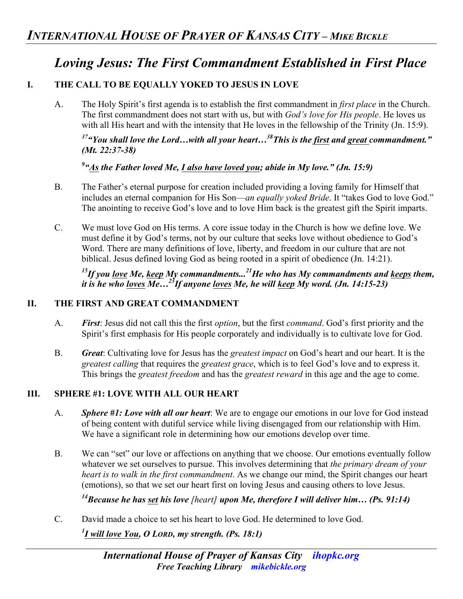# *Loving Jesus: The First Commandment Established in First Place*

# **I. THE CALL TO BE EQUALLY YOKED TO JESUS IN LOVE**

A. The Holy Spirit's first agenda is to establish the first commandment in *first place* in the Church. The first commandment does not start with us, but with *God's love for His people*. He loves us with all His heart and with the intensity that He loves in the fellowship of the Trinity (Jn. 15:9).

# *37"You shall love the Lord…with all your heart…38This is the first and great commandment." (Mt. 22:37-38)*

*9 "As the Father loved Me, I also have loved you; abide in My love." (Jn. 15:9)*

- B. The Father's eternal purpose for creation included providing a loving family for Himself that includes an eternal companion for His Son—*an equally yoked Bride*. It "takes God to love God." The anointing to receive God's love and to love Him back is the greatest gift the Spirit imparts.
- C. We must love God on His terms. A core issue today in the Church is how we define love. We must define it by God's terms, not by our culture that seeks love without obedience to God's Word. There are many definitions of love, liberty, and freedom in our culture that are not biblical. Jesus defined loving God as being rooted in a spirit of obedience (Jn. 14:21).

## *15If you love Me, keep My commandments...21He who has My commandments and keeps them, it is he who loves Me…23If anyone loves Me, he will keep My word. (Jn. 14:15-23)*

#### **II. THE FIRST AND GREAT COMMANDMENT**

- A. *First*: Jesus did not call this the first *option*, but the first *command*. God's first priority and the Spirit's first emphasis for His people corporately and individually is to cultivate love for God.
- B. *Great*: Cultivating love for Jesus has the *greatest impact* on God's heart and our heart. It is the *greatest calling* that requires the *greatest grace*, which is to feel God's love and to express it. This brings the *greatest freedom* and has the *greatest reward* in this age and the age to come.

## **III. SPHERE #1: LOVE WITH ALL OUR HEART**

- A. *Sphere #1: Love with all our heart*: We are to engage our emotions in our love for God instead of being content with dutiful service while living disengaged from our relationship with Him. We have a significant role in determining how our emotions develop over time.
- B. We can "set" our love or affections on anything that we choose. Our emotions eventually follow whatever we set ourselves to pursue. This involves determining that *the primary dream of your heart is to walk in the first commandment*. As we change our mind, the Spirit changes our heart (emotions), so that we set our heart first on loving Jesus and causing others to love Jesus.

*14Because he has set his love [heart] upon Me, therefore I will deliver him… (Ps. 91:14)* 

C. David made a choice to set his heart to love God. He determined to love God. *1 I will love You, O LORD, my strength. (Ps. 18:1)*